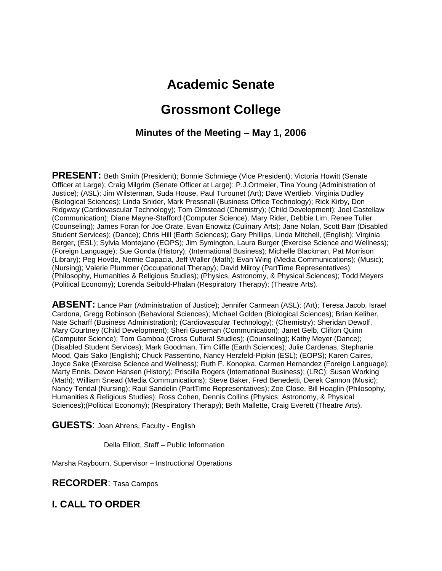# **Academic Senate**

# **Grossmont College**

#### **Minutes of the Meeting – May 1, 2006**

**PRESENT:** Beth Smith (President); Bonnie Schmiege (Vice President); Victoria Howitt (Senate Officer at Large); Craig Milgrim (Senate Officer at Large); P.J.Ortmeier, Tina Young (Administration of Justice); (ASL); Jim Wilsterman, Suda House, Paul Turounet (Art); Dave Wertlieb, Virginia Dudley (Biological Sciences); Linda Snider, Mark Pressnall (Business Office Technology); Rick Kirby, Don Ridgway (Cardiovascular Technology); Tom Olmstead (Chemistry); (Child Development); Joel Castellaw (Communication); Diane Mayne-Stafford (Computer Science); Mary Rider, Debbie Lim, Renee Tuller (Counseling); James Foran for Joe Orate, Evan Enowitz (Culinary Arts); Jane Nolan, Scott Barr (Disabled Student Services); (Dance); Chris Hill (Earth Sciences); Gary Phillips, Linda Mitchell, (English); Virginia Berger, (ESL); Sylvia Montejano (EOPS); Jim Symington, Laura Burger (Exercise Science and Wellness); (Foreign Language); Sue Gonda (History); (International Business); Michelle Blackman, Pat Morrison (Library); Peg Hovde, Nemie Capacia, Jeff Waller (Math); Evan Wirig (Media Communications); (Music); (Nursing); Valerie Plummer (Occupational Therapy); David Milroy (PartTime Representatives); (Philosophy, Humanities & Religious Studies); (Physics, Astronomy, & Physical Sciences); Todd Meyers (Political Economy); Lorenda Seibold-Phalan (Respiratory Therapy); (Theatre Arts).

**ABSENT:** Lance Parr (Administration of Justice); Jennifer Carmean (ASL); (Art); Teresa Jacob, Israel Cardona, Gregg Robinson (Behavioral Sciences); Michael Golden (Biological Sciences); Brian Keliher, Nate Scharff (Business Administration); (Cardiovascular Technology); (Chemistry); Sheridan Dewolf, Mary Courtney (Child Development); Sheri Guseman (Communication); Janet Gelb, Clifton Quinn (Computer Science); Tom Gamboa (Cross Cultural Studies); (Counseling); Kathy Meyer (Dance); (Disabled Student Services); Mark Goodman, Tim Cliffe (Earth Sciences); Julie Cardenas, Stephanie Mood, Qais Sako (English); Chuck Passentino, Nancy Herzfeld-Pipkin (ESL); (EOPS); Karen Caires, Joyce Sake (Exercise Science and Wellness); Ruth F. Konopka, Carmen Hernandez (Foreign Language); Marty Ennis, Devon Hansen (History); Priscilla Rogers (International Business); (LRC); Susan Working (Math); William Snead (Media Communications); Steve Baker, Fred Benedetti, Derek Cannon (Music); Nancy Tendal (Nursing); Raul Sandelin (PartTime Representatives); Zoe Close, Bill Hoaglin (Philosophy, Humanities & Religious Studies); Ross Cohen, Dennis Collins (Physics, Astronomy, & Physical Sciences);(Political Economy); (Respiratory Therapy); Beth Mallette, Craig Everett (Theatre Arts).

**GUESTS**: Joan Ahrens, Faculty - English

Della Elliott, Staff – Public Information

Marsha Raybourn, Supervisor – Instructional Operations

**RECORDER**: Tasa Campos

**I. CALL TO ORDER**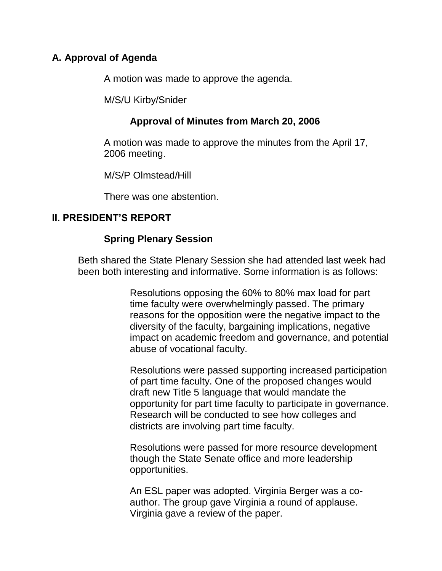### **A. Approval of Agenda**

A motion was made to approve the agenda.

M/S/U Kirby/Snider

### **Approval of Minutes from March 20, 2006**

A motion was made to approve the minutes from the April 17, 2006 meeting.

M/S/P Olmstead/Hill

There was one abstention.

## **II. PRESIDENT'S REPORT**

#### **Spring Plenary Session**

Beth shared the State Plenary Session she had attended last week had been both interesting and informative. Some information is as follows:

> Resolutions opposing the 60% to 80% max load for part time faculty were overwhelmingly passed. The primary reasons for the opposition were the negative impact to the diversity of the faculty, bargaining implications, negative impact on academic freedom and governance, and potential abuse of vocational faculty.

> Resolutions were passed supporting increased participation of part time faculty. One of the proposed changes would draft new Title 5 language that would mandate the opportunity for part time faculty to participate in governance. Research will be conducted to see how colleges and districts are involving part time faculty.

Resolutions were passed for more resource development though the State Senate office and more leadership opportunities.

An ESL paper was adopted. Virginia Berger was a coauthor. The group gave Virginia a round of applause. Virginia gave a review of the paper.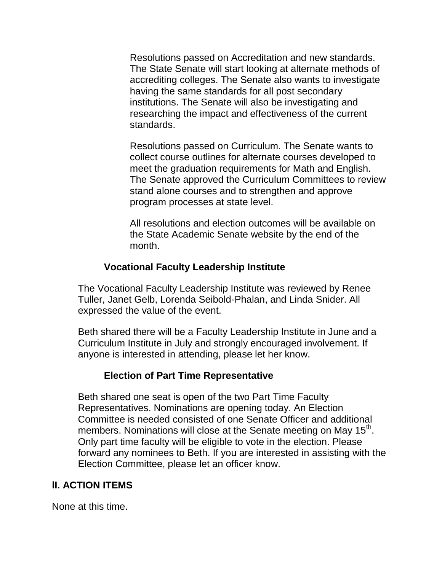Resolutions passed on Accreditation and new standards. The State Senate will start looking at alternate methods of accrediting colleges. The Senate also wants to investigate having the same standards for all post secondary institutions. The Senate will also be investigating and researching the impact and effectiveness of the current standards.

Resolutions passed on Curriculum. The Senate wants to collect course outlines for alternate courses developed to meet the graduation requirements for Math and English. The Senate approved the Curriculum Committees to review stand alone courses and to strengthen and approve program processes at state level.

All resolutions and election outcomes will be available on the State Academic Senate website by the end of the month.

### **Vocational Faculty Leadership Institute**

The Vocational Faculty Leadership Institute was reviewed by Renee Tuller, Janet Gelb, Lorenda Seibold-Phalan, and Linda Snider. All expressed the value of the event.

Beth shared there will be a Faculty Leadership Institute in June and a Curriculum Institute in July and strongly encouraged involvement. If anyone is interested in attending, please let her know.

#### **Election of Part Time Representative**

Beth shared one seat is open of the two Part Time Faculty Representatives. Nominations are opening today. An Election Committee is needed consisted of one Senate Officer and additional members. Nominations will close at the Senate meeting on May 15<sup>th</sup>. Only part time faculty will be eligible to vote in the election. Please forward any nominees to Beth. If you are interested in assisting with the Election Committee, please let an officer know.

## **lI. ACTION ITEMS**

None at this time.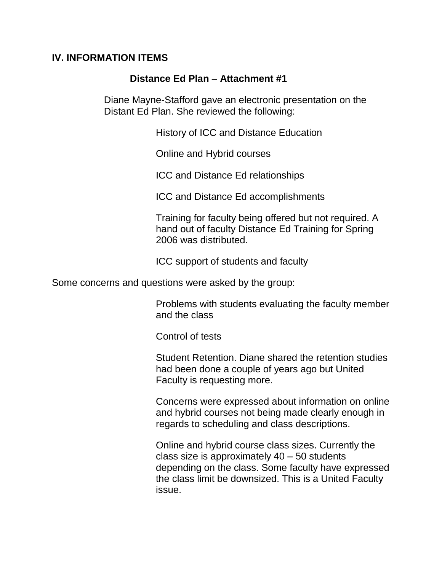#### **IV. INFORMATION ITEMS**

#### **Distance Ed Plan – Attachment #1**

Diane Mayne-Stafford gave an electronic presentation on the Distant Ed Plan. She reviewed the following:

History of ICC and Distance Education

Online and Hybrid courses

ICC and Distance Ed relationships

ICC and Distance Ed accomplishments

Training for faculty being offered but not required. A hand out of faculty Distance Ed Training for Spring 2006 was distributed.

ICC support of students and faculty

Some concerns and questions were asked by the group:

Problems with students evaluating the faculty member and the class

Control of tests

Student Retention. Diane shared the retention studies had been done a couple of years ago but United Faculty is requesting more.

Concerns were expressed about information on online and hybrid courses not being made clearly enough in regards to scheduling and class descriptions.

Online and hybrid course class sizes. Currently the class size is approximately 40 – 50 students depending on the class. Some faculty have expressed the class limit be downsized. This is a United Faculty issue.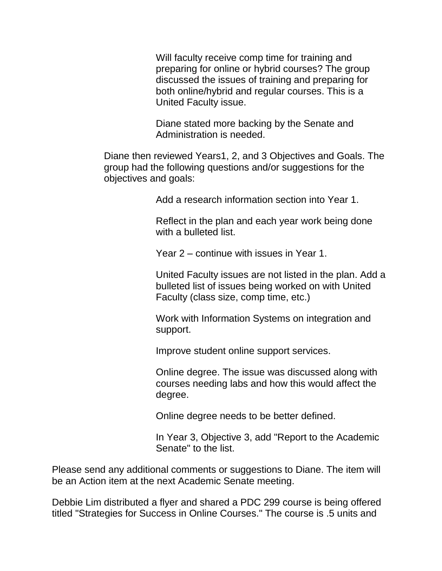Will faculty receive comp time for training and preparing for online or hybrid courses? The group discussed the issues of training and preparing for both online/hybrid and regular courses. This is a United Faculty issue.

Diane stated more backing by the Senate and Administration is needed.

Diane then reviewed Years1, 2, and 3 Objectives and Goals. The group had the following questions and/or suggestions for the objectives and goals:

Add a research information section into Year 1.

Reflect in the plan and each year work being done with a bulleted list.

Year 2 – continue with issues in Year 1.

United Faculty issues are not listed in the plan. Add a bulleted list of issues being worked on with United Faculty (class size, comp time, etc.)

Work with Information Systems on integration and support.

Improve student online support services.

Online degree. The issue was discussed along with courses needing labs and how this would affect the degree.

Online degree needs to be better defined.

In Year 3, Objective 3, add "Report to the Academic Senate" to the list.

Please send any additional comments or suggestions to Diane. The item will be an Action item at the next Academic Senate meeting.

Debbie Lim distributed a flyer and shared a PDC 299 course is being offered titled "Strategies for Success in Online Courses." The course is .5 units and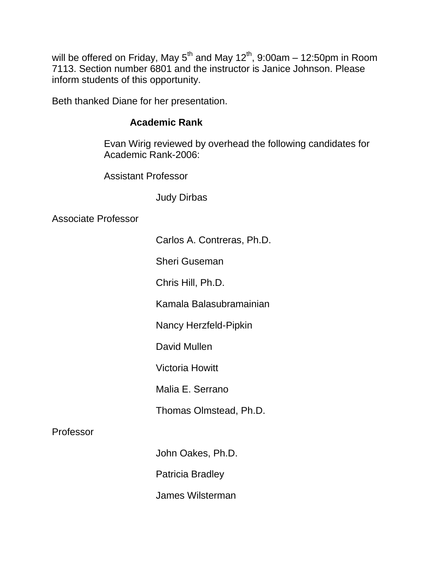will be offered on Friday, May  $5^{th}$  and May  $12^{th}$ , 9:00am - 12:50pm in Room 7113. Section number 6801 and the instructor is Janice Johnson. Please inform students of this opportunity.

Beth thanked Diane for her presentation.

### **Academic Rank**

Evan Wirig reviewed by overhead the following candidates for Academic Rank-2006:

Assistant Professor

Judy Dirbas

Associate Professor

Carlos A. Contreras, Ph.D.

Sheri Guseman

Chris Hill, Ph.D.

Kamala Balasubramainian

Nancy Herzfeld-Pipkin

David Mullen

Victoria Howitt

Malia E. Serrano

Thomas Olmstead, Ph.D.

## Professor

John Oakes, Ph.D.

Patricia Bradley

James Wilsterman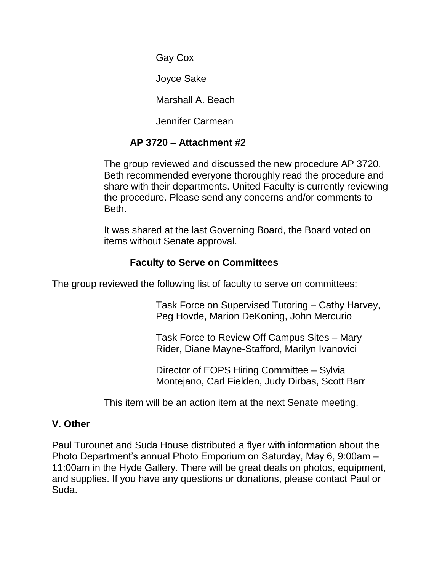Gay Cox

Joyce Sake

Marshall A. Beach

Jennifer Carmean

# **AP 3720 – Attachment #2**

The group reviewed and discussed the new procedure AP 3720. Beth recommended everyone thoroughly read the procedure and share with their departments. United Faculty is currently reviewing the procedure. Please send any concerns and/or comments to Beth.

It was shared at the last Governing Board, the Board voted on items without Senate approval.

# **Faculty to Serve on Committees**

The group reviewed the following list of faculty to serve on committees:

Task Force on Supervised Tutoring – Cathy Harvey, Peg Hovde, Marion DeKoning, John Mercurio

Task Force to Review Off Campus Sites – Mary Rider, Diane Mayne-Stafford, Marilyn Ivanovici

Director of EOPS Hiring Committee – Sylvia Montejano, Carl Fielden, Judy Dirbas, Scott Barr

This item will be an action item at the next Senate meeting.

# **V. Other**

Paul Turounet and Suda House distributed a flyer with information about the Photo Department's annual Photo Emporium on Saturday, May 6, 9:00am – 11:00am in the Hyde Gallery. There will be great deals on photos, equipment, and supplies. If you have any questions or donations, please contact Paul or Suda.